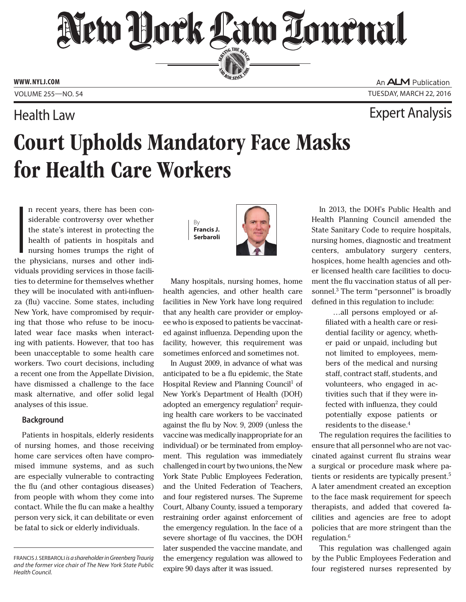# New Hork Law Tournal SERVING THE BET

**ED BAR SINCE 1888** 

**www. NYLJ.com**

An **ALM** Publication Volume 255—NO. 54 Tuesday, march 22, 2016

### Health Law Expert Analysis

# Court Upholds Mandatory Face Masks for Health Care Workers

I am a factor of the state of the state of the state of the state of the state of the state of the state of the state of the state of the state of the state of the state of the state of the state of the state of the state n recent years, there has been considerable controversy over whether the state's interest in protecting the health of patients in hospitals and nursing homes trumps the right of the physicians, nurses and other individuals providing services in those facilities to determine for themselves whether they will be inoculated with anti-influenza (flu) vaccine. Some states, including New York, have compromised by requiring that those who refuse to be inoculated wear face masks when interacting with patients. However, that too has been unacceptable to some health care workers. Two court decisions, including a recent one from the Appellate Division, have dismissed a challenge to the face mask alternative, and offer solid legal analyses of this issue.

### **Background**

Patients in hospitals, elderly residents of nursing homes, and those receiving home care services often have compromised immune systems, and as such are especially vulnerable to contracting the flu (and other contagious diseases) from people with whom they come into contact. While the flu can make a healthy person very sick, it can debilitate or even be fatal to sick or elderly individuals.

By **Francis J. Serbaroli**



Many hospitals, nursing homes, home health agencies, and other health care facilities in New York have long required that any health care provider or employee who is exposed to patients be vaccinated against influenza. Depending upon the facility, however, this requirement was sometimes enforced and sometimes not.

In August 2009, in advance of what was anticipated to be a flu epidemic, the State Hospital Review and Planning Council<sup>1</sup> of New York's Department of Health (DOH) adopted an emergency regulation<sup>2</sup> requiring health care workers to be vaccinated against the flu by Nov. 9, 2009 (unless the vaccine was medically inappropriate for an individual) or be terminated from employment. This regulation was immediately challenged in court by two unions, the New York State Public Employees Federation, and the United Federation of Teachers, and four registered nurses. The Supreme Court, Albany County, issued a temporary restraining order against enforcement of the emergency regulation. In the face of a severe shortage of flu vaccines, the DOH later suspended the vaccine mandate, and the emergency regulation was allowed to expire 90 days after it was issued.

In 2013, the DOH's Public Health and Health Planning Council amended the State Sanitary Code to require hospitals, nursing homes, diagnostic and treatment centers, ambulatory surgery centers, hospices, home health agencies and other licensed health care facilities to document the flu vaccination status of all personnel.<sup>3</sup> The term "personnel" is broadly defined in this regulation to include:

…all persons employed or affiliated with a health care or residential facility or agency, whether paid or unpaid, including but not limited to employees, members of the medical and nursing staff, contract staff, students, and volunteers, who engaged in activities such that if they were infected with influenza, they could potentially expose patients or residents to the disease.4

The regulation requires the facilities to ensure that all personnel who are not vaccinated against current flu strains wear a surgical or procedure mask where patients or residents are typically present.<sup>5</sup> A later amendment created an exception to the face mask requirement for speech therapists, and added that covered facilities and agencies are free to adopt policies that are more stringent than the regulation.<sup>6</sup>

This regulation was challenged again by the Public Employees Federation and four registered nurses represented by

Francis J. Serbaroli *is a shareholder in Greenberg Traurig and the former vice chair of The New York State Public Health Council.*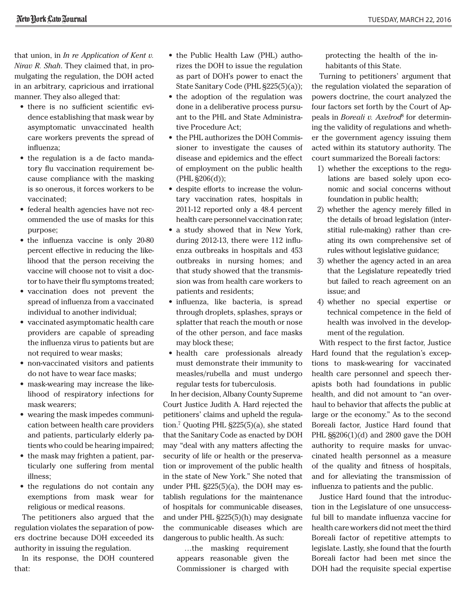that union, in *In re Application of Kent v. Nirav R. Shah*. They claimed that, in promulgating the regulation, the DOH acted in an arbitrary, capricious and irrational manner. They also alleged that:

- there is no sufficient scientific evidence establishing that mask wear by asymptomatic unvaccinated health care workers prevents the spread of influenza;
- the regulation is a de facto mandatory flu vaccination requirement because compliance with the masking is so onerous, it forces workers to be vaccinated;
- federal health agencies have not recommended the use of masks for this purpose;
- the influenza vaccine is only 20-80 percent effective in reducing the likelihood that the person receiving the vaccine will choose not to visit a doctor to have their flu symptoms treated;
- vaccination does not prevent the spread of influenza from a vaccinated individual to another individual;
- vaccinated asymptomatic health care providers are capable of spreading the influenza virus to patients but are not required to wear masks;
- non-vaccinated visitors and patients do not have to wear face masks;
- mask-wearing may increase the likelihood of respiratory infections for mask wearers;
- wearing the mask impedes communication between health care providers and patients, particularly elderly patients who could be hearing impaired;
- the mask may frighten a patient, particularly one suffering from mental illness;
- the regulations do not contain any exemptions from mask wear for religious or medical reasons.

The petitioners also argued that the regulation violates the separation of powers doctrine because DOH exceeded its authority in issuing the regulation.

In its response, the DOH countered that:

- the Public Health Law (PHL) authorizes the DOH to issue the regulation as part of DOH's power to enact the State Sanitary Code (PHL §225(5)(a));
- the adoption of the regulation was done in a deliberative process pursuant to the PHL and State Administrative Procedure Act;
- the PHL authorizes the DOH Commissioner to investigate the causes of disease and epidemics and the effect of employment on the public health (PHL §206(d));
- despite efforts to increase the voluntary vaccination rates, hospitals in 2011-12 reported only a 48.4 percent health care personnel vaccination rate;
- a study showed that in New York, during 2012-13, there were 112 influenza outbreaks in hospitals and 453 outbreaks in nursing homes; and that study showed that the transmission was from health care workers to patients and residents;
- influenza, like bacteria, is spread through droplets, splashes, sprays or splatter that reach the mouth or nose of the other person, and face masks may block these;
- health care professionals already must demonstrate their immunity to measles/rubella and must undergo regular tests for tuberculosis.

In her decision, Albany County Supreme Court Justice Judith A. Hard rejected the petitioners' claims and upheld the regulation.7 Quoting PHL §225(5)(a), she stated that the Sanitary Code as enacted by DOH may "deal with any matters affecting the security of life or health or the preservation or improvement of the public health in the state of New York." She noted that under PHL §225(5)(a), the DOH may establish regulations for the maintenance of hospitals for communicable diseases, and under PHL §225(5)(h) may designate the communicable diseases which are dangerous to public health. As such:

…the masking requirement appears reasonable given the Commissioner is charged with

protecting the health of the inhabitants of this State.

Turning to petitioners' argument that the regulation violated the separation of powers doctrine, the court analyzed the four factors set forth by the Court of Appeals in *Boreali v. Axelrod*8 for determining the validity of regulations and whether the government agency issuing them acted within its statutory authority. The court summarized the Boreali factors:

- 1) whether the exceptions to the regulations are based solely upon economic and social concerns without foundation in public health;
- 2) whether the agency merely filled in the details of broad legislation (interstitial rule-making) rather than creating its own comprehensive set of rules without legislative guidance;
- 3) whether the agency acted in an area that the Legislature repeatedly tried but failed to reach agreement on an issue; and
- 4) whether no special expertise or technical competence in the field of health was involved in the development of the regulation.

With respect to the first factor, Justice Hard found that the regulation's exceptions to mask-wearing for vaccinated health care personnel and speech therapists both had foundations in public health, and did not amount to "an overhaul to behavior that affects the public at large or the economy." As to the second Boreali factor, Justice Hard found that PHL  $\S$ \$206(1)(d) and 2800 gave the DOH authority to require masks for unvaccinated health personnel as a measure of the quality and fitness of hospitals, and for alleviating the transmission of influenza to patients and the public.

Justice Hard found that the introduction in the Legislature of one unsuccessful bill to mandate influenza vaccine for health care workers did not meet the third Boreali factor of repetitive attempts to legislate. Lastly, she found that the fourth Boreali factor had been met since the DOH had the requisite special expertise